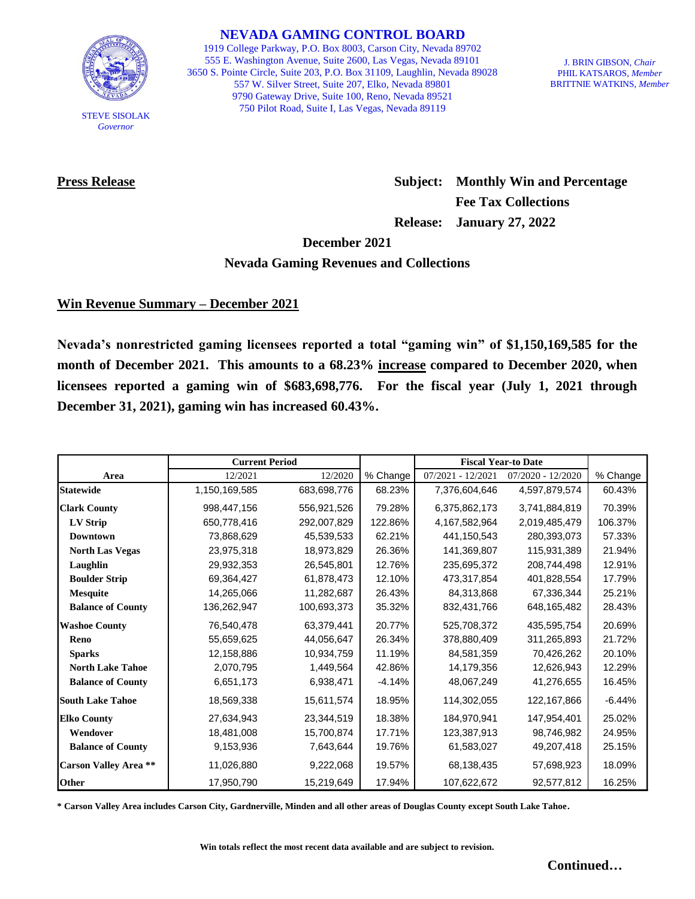

STEVE SISOLAK *Governor*

**NEVADA GAMING CONTROL BOARD**

1919 College Parkway, P.O. Box 8003, Carson City, Nevada 89702 555 E. Washington Avenue, Suite 2600, Las Vegas, Nevada 89101 3650 S. Pointe Circle, Suite 203, P.O. Box 31109, Laughlin, Nevada 89028 557 W. Silver Street, Suite 207, Elko, Nevada 89801 9790 Gateway Drive, Suite 100, Reno, Nevada 89521 750 Pilot Road, Suite I, Las Vegas, Nevada 89119

J. BRIN GIBSON, *Chair* PHIL KATSAROS, *Member* BRITTNIE WATKINS, *Member*

**Press Release Subject: Monthly Win and Percentage Fee Tax Collections Release: January 27, 2022**

**December 2021**

#### **Nevada Gaming Revenues and Collections**

# **Win Revenue Summary – December 2021**

**Nevada's nonrestricted gaming licensees reported a total "gaming win" of \$1,150,169,585 for the month of December 2021. This amounts to a 68.23% increase compared to December 2020, when licensees reported a gaming win of \$683,698,776. For the fiscal year (July 1, 2021 through December 31, 2021), gaming win has increased 60.43%.** 

|                             | <b>Current Period</b> |             |          | <b>Fiscal Year-to Date</b> |                   |          |
|-----------------------------|-----------------------|-------------|----------|----------------------------|-------------------|----------|
| Area                        | 12/2021               | 12/2020     | % Change | $07/2021 - 12/2021$        | 07/2020 - 12/2020 | % Change |
| <b>Statewide</b>            | 1,150,169,585         | 683,698,776 | 68.23%   | 7,376,604,646              | 4,597,879,574     | 60.43%   |
| <b>Clark County</b>         | 998,447,156           | 556,921,526 | 79.28%   | 6,375,862,173              | 3,741,884,819     | 70.39%   |
| LV Strip                    | 650,778,416           | 292,007,829 | 122.86%  | 4,167,582,964              | 2,019,485,479     | 106.37%  |
| <b>Downtown</b>             | 73,868,629            | 45,539,533  | 62.21%   | 441,150,543                | 280,393,073       | 57.33%   |
| <b>North Las Vegas</b>      | 23,975,318            | 18,973,829  | 26.36%   | 141,369,807                | 115,931,389       | 21.94%   |
| Laughlin                    | 29,932,353            | 26,545,801  | 12.76%   | 235,695,372                | 208,744,498       | 12.91%   |
| <b>Boulder Strip</b>        | 69,364,427            | 61,878,473  | 12.10%   | 473,317,854                | 401,828,554       | 17.79%   |
| <b>Mesquite</b>             | 14,265,066            | 11,282,687  | 26.43%   | 84,313,868                 | 67,336,344        | 25.21%   |
| <b>Balance of County</b>    | 136,262,947           | 100,693,373 | 35.32%   | 832,431,766                | 648,165,482       | 28.43%   |
| <b>Washoe County</b>        | 76,540,478            | 63,379,441  | 20.77%   | 525,708,372                | 435,595,754       | 20.69%   |
| Reno                        | 55,659,625            | 44,056,647  | 26.34%   | 378,880,409                | 311,265,893       | 21.72%   |
| <b>Sparks</b>               | 12,158,886            | 10,934,759  | 11.19%   | 84,581,359                 | 70,426,262        | 20.10%   |
| <b>North Lake Tahoe</b>     | 2,070,795             | 1,449,564   | 42.86%   | 14,179,356                 | 12,626,943        | 12.29%   |
| <b>Balance of County</b>    | 6,651,173             | 6,938,471   | $-4.14%$ | 48,067,249                 | 41,276,655        | 16.45%   |
| <b>South Lake Tahoe</b>     | 18,569,338            | 15,611,574  | 18.95%   | 114,302,055                | 122,167,866       | $-6.44%$ |
| <b>Elko County</b>          | 27,634,943            | 23,344,519  | 18.38%   | 184.970.941                | 147.954.401       | 25.02%   |
| Wendover                    | 18,481,008            | 15,700,874  | 17.71%   | 123,387,913                | 98,746,982        | 24.95%   |
| <b>Balance of County</b>    | 9,153,936             | 7,643,644   | 19.76%   | 61,583,027                 | 49,207,418        | 25.15%   |
| <b>Carson Valley Area**</b> | 11,026,880            | 9,222,068   | 19.57%   | 68,138,435                 | 57,698,923        | 18.09%   |
| Other                       | 17,950,790            | 15,219,649  | 17.94%   | 107,622,672                | 92,577,812        | 16.25%   |

**\* Carson Valley Area includes Carson City, Gardnerville, Minden and all other areas of Douglas County except South Lake Tahoe.**

**Win totals reflect the most recent data available and are subject to revision.**

**Continued…**